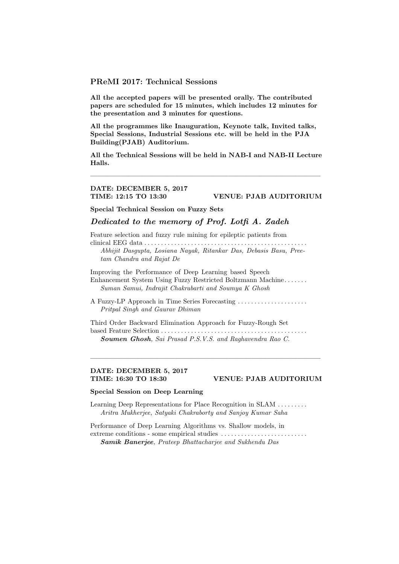### PReMI 2017: Technical Sessions

All the accepted papers will be presented orally. The contributed papers are scheduled for 15 minutes, which includes 12 minutes for the presentation and 3 minutes for questions.

All the programmes like Inauguration, Keynote talk, Invited talks, Special Sessions, Industrial Sessions etc. will be held in the PJA Building(PJAB) Auditorium.

All the Technical Sessions will be held in NAB-I and NAB-II Lecture Halls.

 $\longrightarrow$  . The contribution of the contribution of  $\mathcal{L}$ 

### DATE: DECEMBER 5, 2017 TIME: 12:15 TO 13:30 VENUE: PJAB AUDITORIUM

Special Technical Session on Fuzzy Sets

### Dedicated to the memory of Prof. Lotfi A. Zadeh

Feature selection and fuzzy rule mining for epileptic patients from

clinical EEG data . . . . . . . . . . . . . . . . . . . . . . . . . . . . . . . . . . . . . . . . . . . . . . . . . Abhijit Dasgupta, Losiana Nayak, Ritankar Das, Debasis Basu, Preetam Chandra and Rajat De

Improving the Performance of Deep Learning based Speech Enhancement System Using Fuzzy Restricted Boltzmann Machine . . . . . . . Suman Samui, Indrajit Chakrabarti and Soumya K Ghosh

A Fuzzy-LP Approach in Time Series Forecasting . . . . . . . . . . . . . . . . . . . . . Pritpal Singh and Gaurav Dhiman

Third Order Backward Elimination Approach for Fuzzy-Rough Set based Feature Selection . . . . . . . . . . . . . . . . . . . . . . . . . . . . . . . . . . . . . . . . . . . . Soumen Ghosh, Sai Prasad P.S.V.S. and Raghavendra Rao C.

——————————————————————————————

# DATE: DECEMBER 5, 2017

#### TIME: 16:30 TO 18:30 VENUE: PJAB AUDITORIUM

### Special Session on Deep Learning

Learning Deep Representations for Place Recognition in SLAM . . . . . . . . . Aritra Mukherjee, Satyaki Chakraborty and Sanjoy Kumar Saha

Performance of Deep Learning Algorithms vs. Shallow models, in extreme conditions - some empirical studies . . . . . . . . . . . . . . . . . . . . . . . . . . Samik Banerjee, Prateep Bhattacharjee and Sukhendu Das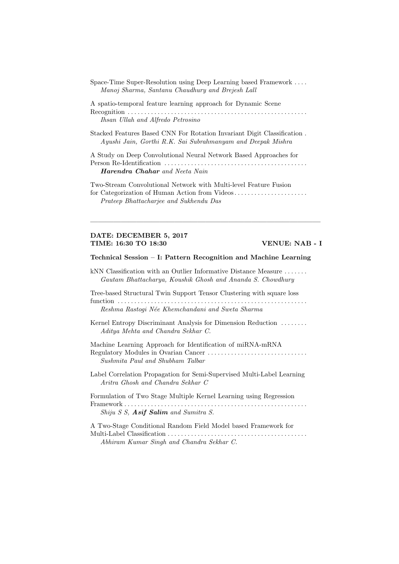| Space-Time Super-Resolution using Deep Learning based Framework |                                                  |  |
|-----------------------------------------------------------------|--------------------------------------------------|--|
|                                                                 | Manoj Sharma, Santanu Chaudhury and Brejesh Lall |  |

A spatio-temporal feature learning approach for Dynamic Scene Recognition . . . . . . . . . . . . . . . . . . . . . . . . . . . . . . . . . . . . . . . . . . . . . . . . . . . . . . Ihsan Ullah and Alfredo Petrosino

Stacked Features Based CNN For Rotation Invariant Digit Classification . Ayushi Jain, Gorthi R.K. Sai Subrahmanyam and Deepak Mishra

A Study on Deep Convolutional Neural Network Based Approaches for Person Re-Identification . . . . . . . . . . . . . . . . . . . . . . . . . . . . . . . . . . . . . . . . . . . Harendra Chahar and Neeta Nain

Two-Stream Convolutional Network with Multi-level Feature Fusion for Categorization of Human Action from Videos. . . . . . . . . . . . . . . . . . . . . . Prateep Bhattacharjee and Sukhendu Das

#### DATE: DECEMBER 5, 2017 TIME: 16:30 TO 18:30 VENUE: NAB - I

#### Technical Session – I: Pattern Recognition and Machine Learning

——————————————————————————————

kNN Classification with an Outlier Informative Distance Measure ....... Gautam Bhattacharya, Koushik Ghosh and Ananda S. Chowdhury

Tree-based Structural Twin Support Tensor Clustering with square loss

function . . . . . . . . . . . . . . . . . . . . . . . . . . . . . . . . . . . . . . . . . . . . . . . . . . . . . . . . . Reshma Rastogi N´ee Khemchandani and Sweta Sharma

- Kernel Entropy Discriminant Analysis for Dimension Reduction ........ Aditya Mehta and Chandra Sekhar C.
- Machine Learning Approach for Identification of miRNA-mRNA Regulatory Modules in Ovarian Cancer . . . . . . . . . . . . . . . . . . . . . . . . . . . . . . Sushmita Paul and Shubham Talbar
- Label Correlation Propagation for Semi-Supervised Multi-Label Learning Aritra Ghosh and Chandra Sekhar C

Formulation of Two Stage Multiple Kernel Learning using Regression Framework . . . . . . . . . . . . . . . . . . . . . . . . . . . . . . . . . . . . . . . . . . . . . . . . . . . . . . . Shiju S S, Asif Salim and Sumitra S.

A Two-Stage Conditional Random Field Model based Framework for Multi-Label Classification . . . . . . . . . . . . . . . . . . . . . . . . . . . . . . . . . . . . . . . . . . Abhiram Kumar Singh and Chandra Sekhar C.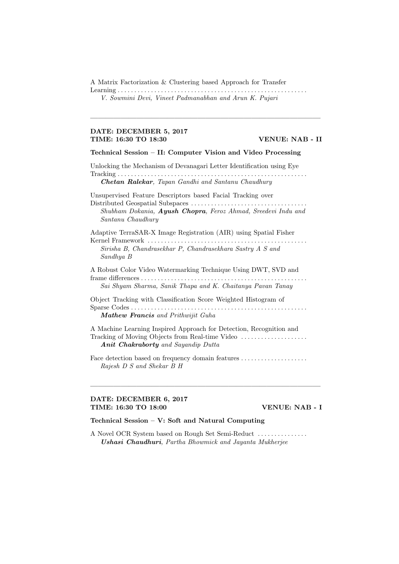A Matrix Factorization & Clustering based Approach for Transfer

Learning . . . . . . . . . . . . . . . . . . . . . . . . . . . . . . . . . . . . . . . . . . . . . . . . . . . . . . . . . V. Sowmini Devi, Vineet Padmanabhan and Arun K. Pujari

#### DATE: DECEMBER 5, 2017 TIME: 16:30 TO 18:30 VENUE: NAB - II

Technical Session – II: Computer Vision and Video Processing

 $\longrightarrow$  . The contribution of the contribution of  $\mathcal{L}$ 

Unlocking the Mechanism of Devanagari Letter Identification using Eye Tracking . . . . . . . . . . . . . . . . . . . . . . . . . . . . . . . . . . . . . . . . . . . . . . . . . . . . . . . . .

Chetan Ralekar, Tapan Gandhi and Santanu Chaudhury

Unsupervised Feature Descriptors based Facial Tracking over Distributed Geospatial Subspaces . . . . . . . . . . . . . . . . . . . . . . . . . . . . . . . . . . . Shubham Dokania, Ayush Chopra, Feroz Ahmad, Sreedevi Indu and Santanu Chaudhury

Adaptive TerraSAR-X Image Registration (AIR) using Spatial Fisher Kernel Framework . . . . . . . . . . . . . . . . . . . . . . . . . . . . . . . . . . . . . . . . . . . . . . . . Sirisha B, Chandrasekhar P, Chandrasekhara Sastry A S and Sandhya B

A Robust Color Video Watermarking Technique Using DWT, SVD and frame differences . . . . . . . . . . . . . . . . . . . . . . . . . . . . . . . . . . . . . . . . . . . . . . . . . . Sai Shyam Sharma, Sanik Thapa and K. Chaitanya Pavan Tanay

Object Tracking with Classification Score Weighted Histogram of Sparse Codes . . . . . . . . . . . . . . . . . . . . . . . . . . . . . . . . . . . . . . . . . . . . . . . . . . . . . Mathew Francis and Prithwijit Guha

A Machine Learning Inspired Approach for Detection, Recognition and Tracking of Moving Objects from Real-time Video . . . . . . . . . . . . . . . . . . . . Anit Chakraborty and Sayandip Dutta

Face detection based on frequency domain features . . . . . . . . . . . . . . . . . . . . Rajesh D S and Shekar B H

 $\frac{1}{\sqrt{2}}$  , and the contract of  $\frac{1}{\sqrt{2}}$  , and  $\frac{1}{\sqrt{2}}$  , and  $\frac{1}{\sqrt{2}}$  , and  $\frac{1}{\sqrt{2}}$  , and  $\frac{1}{\sqrt{2}}$ 

### DATE: DECEMBER 6, 2017 TIME: 16:30 TO 18:00 VENUE: NAB - I

### Technical Session – V: Soft and Natural Computing

A Novel OCR System based on Rough Set Semi-Reduct . . . . . . . . . . . . . . . Ushasi Chaudhuri, Partha Bhowmick and Jayanta Mukherjee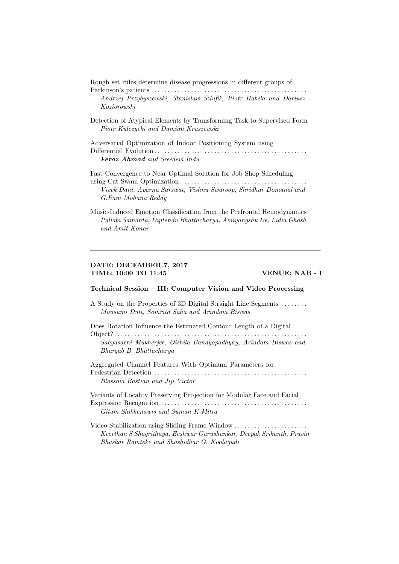Rough set rules determine disease progressions in different groups of

Parkinson's patients . . . . . . . . . . . . . . . . . . . . . . . . . . . . . . . . . . . . . . . . . . . . . . Andrzej Przybyszewski, Stanislaw Szlufik, Piotr Habela and Dariusz Koziorowski

Detection of Atypical Elements by Transforming Task to Supervised Form Piotr Kulczycki and Damian Kruszewski

Adversarial Optimization of Indoor Positioning System using Differential Evolution . . . . . . . . . . . . . . . . . . . . . . . . . . . . . . . . . . . . . . . . . . . . . . Feroz Ahmad and Sreedevi Indu

Fast Convergence to Near Optimal Solution for Job Shop Scheduling using Cat Swam Optimization . . . . . . . . . . . . . . . . . . . . . . . . . . . . . . . . . . . . . . Vivek Dani, Aparna Sarswat, Vishnu Swaroop, Shridhar Domanal and G.Ram Mohana Reddy

Music-Induced Emotion Classification from the Prefrontal Hemodynamics Pallabi Samanta, Diptendu Bhattacharya, Amiyangshu De, Lidia Ghosh and Amit Konar

 $\longrightarrow$  . The contribution of the contribution of  $\mathcal{L}$ 

### DATE: DECEMBER 7, 2017 TIME: 10:00 TO 11:45 VENUE: NAB - I

#### Technical Session – III: Computer Vision and Video Processing

A Study on the Properties of 3D Digital Straight Line Segments . . . . . . . . Mousumi Dutt, Somrita Saha and Arindam Biswas

Does Rotation Influence the Estimated Contour Length of a Digital Object? . . . . . . . . . . . . . . . . . . . . . . . . . . . . . . . . . . . . . . . . . . . . . . . . . . . . . . . . . . Sabyasachi Mukherjee, Oishila Bandyopadhyay, Arindam Biswas and Bhargab B. Bhattacharya

Aggregated Channel Features With Optimum Parameters for Pedestrian Detection . . . . . . . . . . . . . . . . . . . . . . . . . . . . . . . . . . . . . . . . . . . . . . Blossom Bastian and Jiji Victor

Variants of Locality Preserving Projection for Modular Face and Facial Expression Recognition . . . . . . . . . . . . . . . . . . . . . . . . . . . . . . . . . . . . . . . . . . . . Gitam Shikkenawis and Suman K Mitra

Video Stabilization using Sliding Frame Window . . . . . . . . . . . . . . . . . . . . . . Keerthan S Shagrithaya, Eeshwar Gurushankar, Deepak Srikanth, Pravin Bhaskar Ramteke and Shashidhar G. Koolagudi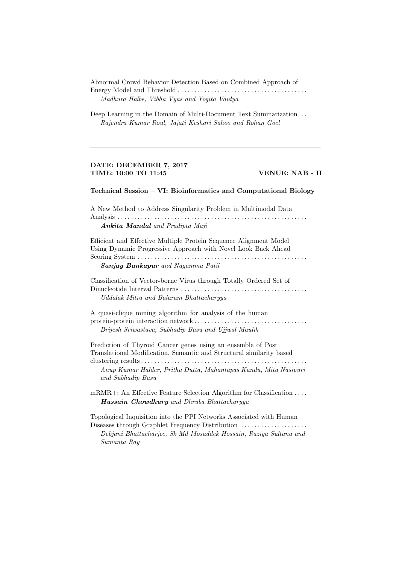Abnormal Crowd Behavior Detection Based on Combined Approach of Energy Model and Threshold . . . . . . . . . . . . . . . . . . . . . . . . . . . . . . . . . . . . . . . Madhura Halbe, Vibha Vyas and Yogita Vaidya

Deep Learning in the Domain of Multi-Document Text Summarization . . Rajendra Kumar Roul, Jajati Keshari Sahoo and Rohan Goel

#### DATE: DECEMBER 7, 2017 TIME: 10:00 TO 11:45 VENUE: NAB - II

### Technical Session – VI: Bioinformatics and Computational Biology

 $\longrightarrow$  . The contribution of the contribution of  $\mathcal{L}$ 

A New Method to Address Singularity Problem in Multimodal Data Analysis . . . . . . . . . . . . . . . . . . . . . . . . . . . . . . . . . . . . . . . . . . . . . . . . . . . . . . . . . Ankita Mandal and Pradipta Maji

Efficient and Effective Multiple Protein Sequence Alignment Model Using Dynamic Progressive Approach with Novel Look Back Ahead Scoring System . . . . . . . . . . . . . . . . . . . . . . . . . . . . . . . . . . . . . . . . . . . . . . . . . . .

Sanjay Bankapur and Nagamma Patil

Classification of Vector-borne Virus through Totally Ordered Set of Dinucleotide Interval Patterns . . . . . . . . . . . . . . . . . . . . . . . . . . . . . . . . . . . . . . Uddalak Mitra and Balaram Bhattacharyya

A quasi-clique mining algorithm for analysis of the human protein-protein interaction network . . . . . . . . . . . . . . . . . . . . . . . . . . . . . . . . . . Brijesh Sriwastava, Subhadip Basu and Ujjwal Maulik

Prediction of Thyroid Cancer genes using an ensemble of Post Translational Modification, Semantic and Structural similarity based clustering results . . . . . . . . . . . . . . . . . . . . . . . . . . . . . . . . . . . . . . . . . . . . . . . . . .

Anup Kumar Halder, Pritha Dutta, Mahantapas Kundu, Mita Nasipuri and Subhadip Basu

mRMR+: An Effective Feature Selection Algorithm for Classification . . . . Hussain Chowdhury and Dhruba Bhattacharyya

Topological Inquisition into the PPI Networks Associated with Human Diseases through Graphlet Frequency Distribution . . . . . . . . . . . . . . . . . . . . Debjani Bhattacharjee, Sk Md Mosaddek Hossain, Raziya Sultana and Sumanta Ray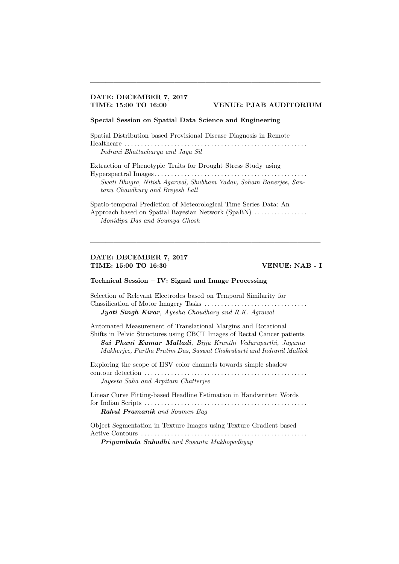## DATE: DECEMBER 7, 2017

#### TIME: 15:00 TO 16:00 VENUE: PJAB AUDITORIUM

### Special Session on Spatial Data Science and Engineering

Spatial Distribution based Provisional Disease Diagnosis in Remote Healthcare . . . . . . . . . . . . . . . . . . . . . . . . . . . . . . . . . . . . . . . . . . . . . . . . . . . . . . . Indrani Bhattacharya and Jaya Sil

 $\longrightarrow$  . The contribution of the contribution of  $\mathcal{L}$ 

Extraction of Phenotypic Traits for Drought Stress Study using Hyperspectral Images. . . . . . . . . . . . . . . . . . . . . . . . . . . . . . . . . . . . . . . . . . . . . . Swati Bhugra, Nitish Agarwal, Shubham Yadav, Soham Banerjee, Santanu Chaudhury and Brejesh Lall

Spatio-temporal Prediction of Meteorological Time Series Data: An Approach based on Spatial Bayesian Network (SpaBN) ................ Monidipa Das and Soumya Ghosh

 $\frac{1}{\sqrt{2}}$  , and the contract of  $\frac{1}{\sqrt{2}}$  , and  $\frac{1}{\sqrt{2}}$  , and  $\frac{1}{\sqrt{2}}$  , and  $\frac{1}{\sqrt{2}}$  , and  $\frac{1}{\sqrt{2}}$ 

### DATE: DECEMBER 7, 2017 TIME: 15:00 TO 16:30 VENUE: NAB - I

#### Technical Session – IV: Signal and Image Processing

Selection of Relevant Electrodes based on Temporal Similarity for Classification of Motor Imagery Tasks . . . . . . . . . . . . . . . . . . . . . . . . . . . . . . . Jyoti Singh Kirar, Ayesha Choudhary and R.K. Agrawal

Automated Measurement of Translational Margins and Rotational Shifts in Pelvic Structures using CBCT Images of Rectal Cancer patients Sai Phani Kumar Malladi, Bijju Kranthi Veduruparthi, Jayanta Mukherjee, Partha Pratim Das, Saswat Chakrabarti and Indranil Mallick

Exploring the scope of HSV color channels towards simple shadow contour detection . . . . . . . . . . . . . . . . . . . . . . . . . . . . . . . . . . . . . . . . . . . . . . . . . Jayeeta Saha and Arpitam Chatterjee

Linear Curve Fitting-based Headline Estimation in Handwritten Words for Indian Scripts . . . . . . . . . . . . . . . . . . . . . . . . . . . . . . . . . . . . . . . . . . . . . . . . . Rahul Pramanik and Soumen Bag

Object Segmentation in Texture Images using Texture Gradient based Active Contours . . . . . . . . . . . . . . . . . . . . . . . . . . . . . . . . . . . . . . . . . . . . . . . . . . Priyambada Subudhi and Susanta Mukhopadhyay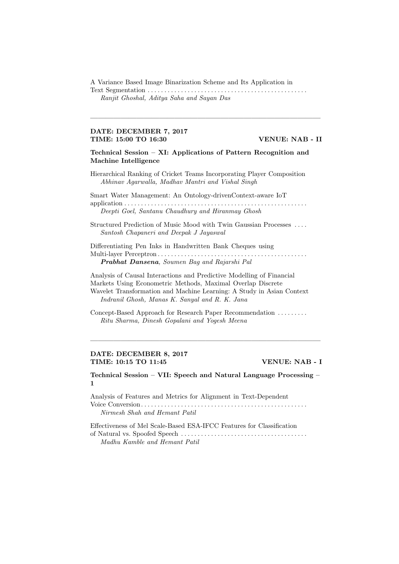A Variance Based Image Binarization Scheme and Its Application in

Text Segmentation . . . . . . . . . . . . . . . . . . . . . . . . . . . . . . . . . . . . . . . . . . . . . . . . Ranjit Ghoshal, Aditya Saha and Sayan Das

 $\longrightarrow$  . The contribution of the contribution of  $\mathcal{L}$ 

#### DATE: DECEMBER 7, 2017 TIME: 15:00 TO 16:30 VENUE: NAB - II

Technical Session – XI: Applications of Pattern Recognition and Machine Intelligence

Hierarchical Ranking of Cricket Teams Incorporating Player Composition Abhinav Agarwalla, Madhav Mantri and Vishal Singh

Smart Water Management: An Ontology-drivenContext-aware IoT application . . . . . . . . . . . . . . . . . . . . . . . . . . . . . . . . . . . . . . . . . . . . . . . . . . . . . . . Deepti Goel, Santanu Chaudhury and Hiranmay Ghosh

Structured Prediction of Music Mood with Twin Gaussian Processes . . . . Santosh Chapaneri and Deepak J Jayaswal

Differentiating Pen Inks in Handwritten Bank Cheques using Multi-layer Perceptron . . . . . . . . . . . . . . . . . . . . . . . . . . . . . . . . . . . . . . . . . . . . . Prabhat Dansena, Soumen Bag and Rajarshi Pal

Analysis of Causal Interactions and Predictive Modelling of Financial Markets Using Econometric Methods, Maximal Overlap Discrete Wavelet Transformation and Machine Learning: A Study in Asian Context Indranil Ghosh, Manas K. Sanyal and R. K. Jana

Concept-Based Approach for Research Paper Recommendation . . . . . . . . . Ritu Sharma, Dinesh Gopalani and Yogesh Meena

#### DATE: DECEMBER 8, 2017 TIME: 10:15 TO 11:45 VENUE: NAB - I

Technical Session – VII: Speech and Natural Language Processing – 1

 $\frac{1}{\sqrt{2}}$  , and the contract of  $\frac{1}{\sqrt{2}}$  , and  $\frac{1}{\sqrt{2}}$  , and  $\frac{1}{\sqrt{2}}$  , and  $\frac{1}{\sqrt{2}}$  , and  $\frac{1}{\sqrt{2}}$ 

Analysis of Features and Metrics for Alignment in Text-Dependent Voice Conversion. . . . . . . . . . . . . . . . . . . . . . . . . . . . . . . . . . . . . . . . . . . . . . . . . . Nirmesh Shah and Hemant Patil

Effectiveness of Mel Scale-Based ESA-IFCC Features for Classification of Natural vs. Spoofed Speech . . . . . . . . . . . . . . . . . . . . . . . . . . . . . . . . . . . . . . Madhu Kamble and Hemant Patil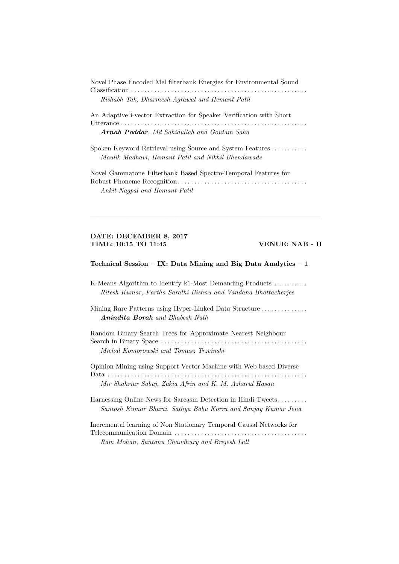| Novel Phase Encoded Mel filterbank Energies for Environmental Sound |
|---------------------------------------------------------------------|
|                                                                     |
| Rishabh Tak, Dharmesh Agrawal and Hemant Patil                      |
|                                                                     |

An Adaptive i-vector Extraction for Speaker Verification with Short Utterance . . . . . . . . . . . . . . . . . . . . . . . . . . . . . . . . . . . . . . . . . . . . . . . . . . . . . . . . Arnab Poddar, Md Sahidullah and Goutam Saha

Spoken Keyword Retrieval using Source and System Features . . . . . . . . . . . Maulik Madhavi, Hemant Patil and Nikhil Bhendawade

Novel Gammatone Filterbank Based Spectro-Temporal Features for Robust Phoneme Recognition. . . . . . . . . . . . . . . . . . . . . . . . . . . . . . . . . . . . . . . Ankit Nagpal and Hemant Patil

 $\longrightarrow$  . The contribution of the contribution of  $\mathcal{L}$ 

#### DATE: DECEMBER 8, 2017 TIME: 10:15 TO 11:45 VENUE: NAB - II

#### Technical Session – IX: Data Mining and Big Data Analytics –  $1$

K-Means Algorithm to Identify k1-Most Demanding Products . . . . . . . . . . Ritesh Kumar, Partha Sarathi Bishnu and Vandana Bhattacherjee

Mining Rare Patterns using Hyper-Linked Data Structure . . . . . . . . . . . . . . . . Anindita Borah and Bhabesh Nath

Random Binary Search Trees for Approximate Nearest Neighbour Search in Binary Space . . . . . . . . . . . . . . . . . . . . . . . . . . . . . . . . . . . . . . . . . . . . Michal Komorowski and Tomasz Trzcinski

Opinion Mining using Support Vector Machine with Web based Diverse Data . . . . . . . . . . . . . . . . . . . . . . . . . . . . . . . . . . . . . . . . . . . . . . . . . . . . . . . . . . . . Mir Shahriar Sabuj, Zakia Afrin and K. M. Azharul Hasan

Harnessing Online News for Sarcasm Detection in Hindi Tweets. . . . . . . . . Santosh Kumar Bharti, Sathya Babu Korra and Sanjay Kumar Jena

Incremental learning of Non Stationary Temporal Causal Networks for Telecommunication Domain . . . . . . . . . . . . . . . . . . . . . . . . . . . . . . . . . . . . . . . . Ram Mohan, Santanu Chaudhury and Brejesh Lall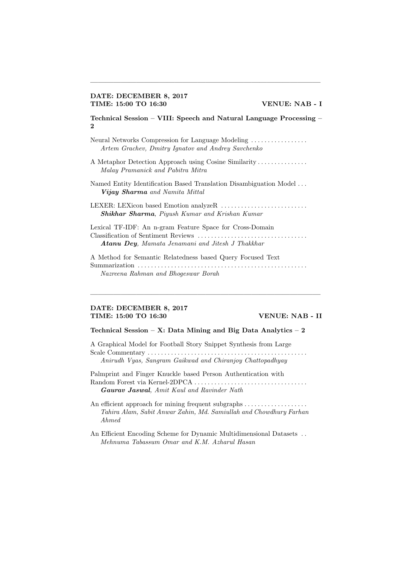### DATE: DECEMBER 8, 2017 TIME: 15:00 TO 16:30 VENUE: NAB - I

Technical Session – VIII: Speech and Natural Language Processing – 2

 $\longrightarrow$  . The contribution of the contribution of  $\mathcal{L}$ 

Neural Networks Compression for Language Modeling . . . . . . . . . . . . . . . . . Artem Grachev, Dmitry Ignatov and Andrey Savchenko

A Metaphor Detection Approach using Cosine Similarity . . . . . . . . . . . . . . . Malay Pramanick and Pabitra Mitra

Named Entity Identification Based Translation Disambiguation Model . . . Vijay Sharma and Namita Mittal

LEXER: LEXicon based Emotion analyzeR . . . . . . . . . . . . . . . . . . . . . . . . . . Shikhar Sharma, Piyush Kumar and Krishan Kumar

Lexical TF-IDF: An n-gram Feature Space for Cross-Domain Classification of Sentiment Reviews . . . . . . . . . . . . . . . . . . . . . . . . . . . . . . . . . Atanu Dey, Mamata Jenamani and Jitesh J Thakkhar

A Method for Semantic Relatedness based Query Focused Text Summarization . . . . . . . . . . . . . . . . . . . . . . . . . . . . . . . . . . . . . . . . . . . . . . . . . . . Nazreena Rahman and Bhogeswar Borah

 $\frac{1}{\sqrt{2}}$  , and the contract of  $\frac{1}{\sqrt{2}}$  , and  $\frac{1}{\sqrt{2}}$  , and  $\frac{1}{\sqrt{2}}$  , and  $\frac{1}{\sqrt{2}}$  , and  $\frac{1}{\sqrt{2}}$ 

#### DATE: DECEMBER 8, 2017 TIME: 15:00 TO 16:30 VENUE: NAB - II

#### Technical Session – X: Data Mining and Big Data Analytics –  $2$

A Graphical Model for Football Story Snippet Synthesis from Large Scale Commentary . . . . . . . . . . . . . . . . . . . . . . . . . . . . . . . . . . . . . . . . . . . . . . . . Anirudh Vyas, Sangram Gaikwad and Chiranjoy Chattopadhyay

Palmprint and Finger Knuckle based Person Authentication with Random Forest via Kernel-2DPCA . . . . . . . . . . . . . . . . . . . . . . . . . . . . . . . . . . Gaurav Jaswal, Amit Kaul and Ravinder Nath

An efficient approach for mining frequent subgraphs . . . . . . . . . . . . . . . . . . . Tahira Alam, Sabit Anwar Zahin, Md. Samiullah and Chowdhury Farhan Ahmed

An Efficient Encoding Scheme for Dynamic Multidimensional Datasets . . Mehnuma Tabassum Omar and K.M. Azharul Hasan